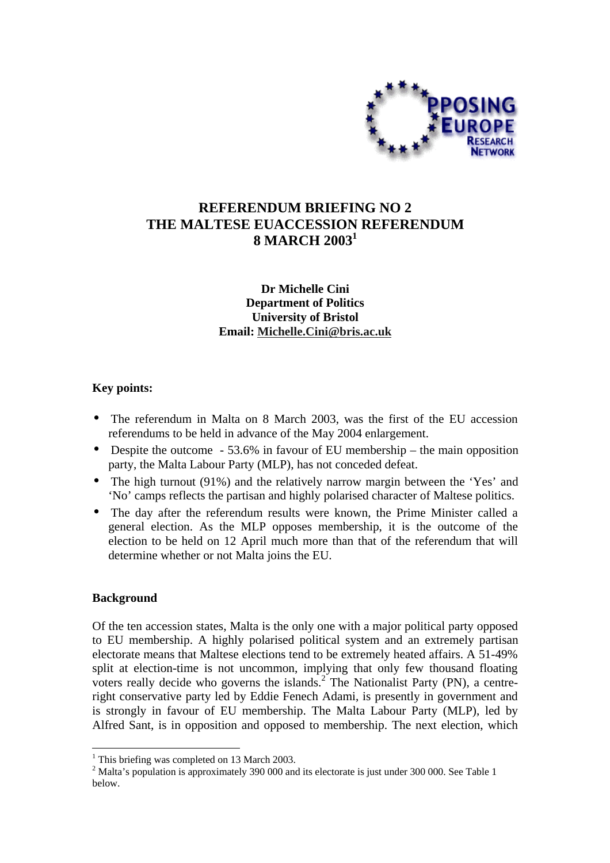

# **REFERENDUM BRIEFING NO 2 THE MALTESE EUACCESSION REFERENDUM 8 MARCH 20031**

## **Dr Michelle Cini Department of Politics University of Bristol Email: Michelle.Cini@bris.ac.uk**

## **Key points:**

- The referendum in Malta on 8 March 2003, was the first of the EU accession referendums to be held in advance of the May 2004 enlargement.
- Despite the outcome 53.6% in favour of EU membership the main opposition party, the Malta Labour Party (MLP), has not conceded defeat.
- The high turnout (91%) and the relatively narrow margin between the 'Yes' and 'No' camps reflects the partisan and highly polarised character of Maltese politics.
- The day after the referendum results were known, the Prime Minister called a general election. As the MLP opposes membership, it is the outcome of the election to be held on 12 April much more than that of the referendum that will determine whether or not Malta joins the EU.

### **Background**

 $\overline{a}$ 

Of the ten accession states, Malta is the only one with a major political party opposed to EU membership. A highly polarised political system and an extremely partisan electorate means that Maltese elections tend to be extremely heated affairs. A 51-49% split at election-time is not uncommon, implying that only few thousand floating voters really decide who governs the islands.<sup>2</sup> The Nationalist Party (PN), a centreright conservative party led by Eddie Fenech Adami, is presently in government and is strongly in favour of EU membership. The Malta Labour Party (MLP), led by Alfred Sant, is in opposition and opposed to membership. The next election, which

<sup>&</sup>lt;sup>1</sup> This briefing was completed on 13 March 2003.

 $2^{2}$  Malta's population is approximately 390 000 and its electorate is just under 300 000. See Table 1 below.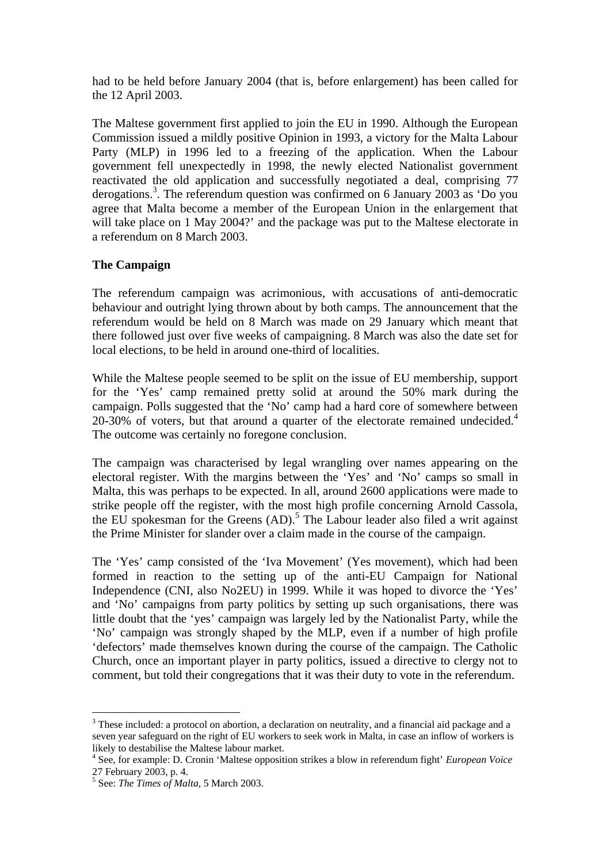had to be held before January 2004 (that is, before enlargement) has been called for the 12 April 2003.

The Maltese government first applied to join the EU in 1990. Although the European Commission issued a mildly positive Opinion in 1993, a victory for the Malta Labour Party (MLP) in 1996 led to a freezing of the application. When the Labour government fell unexpectedly in 1998, the newly elected Nationalist government reactivated the old application and successfully negotiated a deal, comprising 77 derogations.3 . The referendum question was confirmed on 6 January 2003 as 'Do you agree that Malta become a member of the European Union in the enlargement that will take place on 1 May 2004?' and the package was put to the Maltese electorate in a referendum on 8 March 2003.

## **The Campaign**

The referendum campaign was acrimonious, with accusations of anti-democratic behaviour and outright lying thrown about by both camps. The announcement that the referendum would be held on 8 March was made on 29 January which meant that there followed just over five weeks of campaigning. 8 March was also the date set for local elections, to be held in around one-third of localities.

While the Maltese people seemed to be split on the issue of EU membership, support for the 'Yes' camp remained pretty solid at around the 50% mark during the campaign. Polls suggested that the 'No' camp had a hard core of somewhere between 20-30% of voters, but that around a quarter of the electorate remained undecided.<sup>4</sup> The outcome was certainly no foregone conclusion.

The campaign was characterised by legal wrangling over names appearing on the electoral register. With the margins between the 'Yes' and 'No' camps so small in Malta, this was perhaps to be expected. In all, around 2600 applications were made to strike people off the register, with the most high profile concerning Arnold Cassola, the EU spokesman for the Greens  $(AD)$ .<sup>5</sup> The Labour leader also filed a writ against the Prime Minister for slander over a claim made in the course of the campaign.

The 'Yes' camp consisted of the 'Iva Movement' (Yes movement), which had been formed in reaction to the setting up of the anti-EU Campaign for National Independence (CNI, also No2EU) in 1999. While it was hoped to divorce the 'Yes' and 'No' campaigns from party politics by setting up such organisations, there was little doubt that the 'yes' campaign was largely led by the Nationalist Party, while the 'No' campaign was strongly shaped by the MLP, even if a number of high profile 'defectors' made themselves known during the course of the campaign. The Catholic Church, once an important player in party politics, issued a directive to clergy not to comment, but told their congregations that it was their duty to vote in the referendum.

 $\overline{a}$ 

 $3$  These included: a protocol on abortion, a declaration on neutrality, and a financial aid package and a seven year safeguard on the right of EU workers to seek work in Malta, in case an inflow of workers is likely to destabilise the Maltese labour market.

<sup>4</sup> See, for example: D. Cronin 'Maltese opposition strikes a blow in referendum fight' *European Voice* 27 February 2003, p. 4.

<sup>5</sup> See: *The Times of Malta*, 5 March 2003.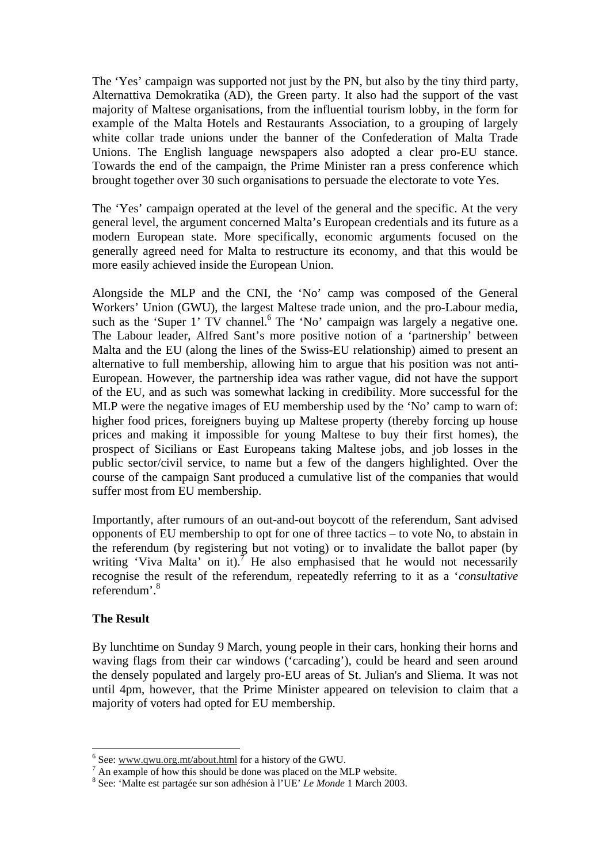The 'Yes' campaign was supported not just by the PN, but also by the tiny third party, Alternattiva Demokratika (AD), the Green party. It also had the support of the vast majority of Maltese organisations, from the influential tourism lobby, in the form for example of the Malta Hotels and Restaurants Association, to a grouping of largely white collar trade unions under the banner of the Confederation of Malta Trade Unions. The English language newspapers also adopted a clear pro-EU stance. Towards the end of the campaign, the Prime Minister ran a press conference which brought together over 30 such organisations to persuade the electorate to vote Yes.

The 'Yes' campaign operated at the level of the general and the specific. At the very general level, the argument concerned Malta's European credentials and its future as a modern European state. More specifically, economic arguments focused on the generally agreed need for Malta to restructure its economy, and that this would be more easily achieved inside the European Union.

Alongside the MLP and the CNI, the 'No' camp was composed of the General Workers' Union (GWU), the largest Maltese trade union, and the pro-Labour media, such as the 'Super 1' TV channel.<sup>6</sup> The 'No' campaign was largely a negative one. The Labour leader, Alfred Sant's more positive notion of a 'partnership' between Malta and the EU (along the lines of the Swiss-EU relationship) aimed to present an alternative to full membership, allowing him to argue that his position was not anti-European. However, the partnership idea was rather vague, did not have the support of the EU, and as such was somewhat lacking in credibility. More successful for the MLP were the negative images of EU membership used by the 'No' camp to warn of: higher food prices, foreigners buying up Maltese property (thereby forcing up house prices and making it impossible for young Maltese to buy their first homes), the prospect of Sicilians or East Europeans taking Maltese jobs, and job losses in the public sector/civil service, to name but a few of the dangers highlighted. Over the course of the campaign Sant produced a cumulative list of the companies that would suffer most from EU membership.

Importantly, after rumours of an out-and-out boycott of the referendum, Sant advised opponents of EU membership to opt for one of three tactics – to vote No, to abstain in the referendum (by registering but not voting) or to invalidate the ballot paper (by writing 'Viva Malta' on it).<sup>7</sup> He also emphasised that he would not necessarily recognise the result of the referendum, repeatedly referring to it as a '*consultative* referendum'.8

### **The Result**

By lunchtime on Sunday 9 March, young people in their cars, honking their horns and waving flags from their car windows ('carcading'), could be heard and seen around the densely populated and largely pro-EU areas of St. Julian's and Sliema. It was not until 4pm, however, that the Prime Minister appeared on television to claim that a majority of voters had opted for EU membership.

 6

<sup>&</sup>lt;sup>6</sup> See: <u>www.qwu.org.mt/about.html</u> for a history of the GWU.<br><sup>7</sup> An example of how this should be done was placed on the MLP website.

<sup>8</sup> See: 'Malte est partagée sur son adhésion à l'UE' *Le Monde* 1 March 2003.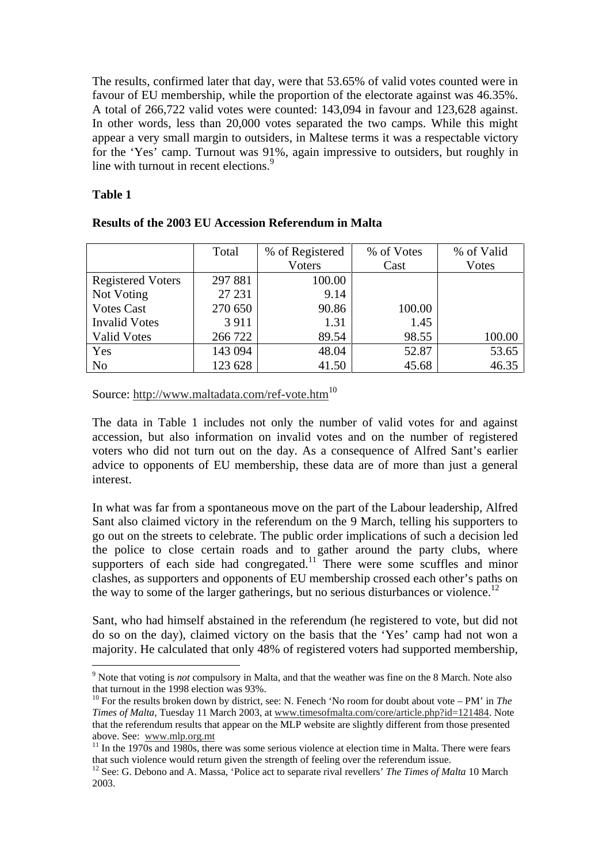The results, confirmed later that day, were that 53.65% of valid votes counted were in favour of EU membership, while the proportion of the electorate against was 46.35%. A total of 266,722 valid votes were counted: 143,094 in favour and 123,628 against. In other words, less than 20,000 votes separated the two camps. While this might appear a very small margin to outsiders, in Maltese terms it was a respectable victory for the 'Yes' camp. Turnout was 91%, again impressive to outsiders, but roughly in line with turnout in recent elections.<sup>9</sup>

## **Table 1**

 $\overline{a}$ 

|                          | Total   | % of Registered | % of Votes | % of Valid |
|--------------------------|---------|-----------------|------------|------------|
|                          |         | <b>Voters</b>   | Cast       | Votes      |
| <b>Registered Voters</b> | 297 881 | 100.00          |            |            |
| Not Voting               | 27 231  | 9.14            |            |            |
| <b>Votes Cast</b>        | 270 650 | 90.86           | 100.00     |            |
| <b>Invalid Votes</b>     | 3911    | 1.31            | 1.45       |            |
| <b>Valid Votes</b>       | 266 722 | 89.54           | 98.55      | 100.00     |
| Yes                      | 143 094 | 48.04           | 52.87      | 53.65      |
| N <sub>o</sub>           | 123 628 | 41.50           | 45.68      | 46.35      |

## **Results of the 2003 EU Accession Referendum in Malta**

## Source: http://www.maltadata.com/ref-vote.htm<sup>10</sup>

The data in Table 1 includes not only the number of valid votes for and against accession, but also information on invalid votes and on the number of registered voters who did not turn out on the day. As a consequence of Alfred Sant's earlier advice to opponents of EU membership, these data are of more than just a general interest.

In what was far from a spontaneous move on the part of the Labour leadership, Alfred Sant also claimed victory in the referendum on the 9 March, telling his supporters to go out on the streets to celebrate. The public order implications of such a decision led the police to close certain roads and to gather around the party clubs, where supporters of each side had congregated.<sup>11</sup> There were some scuffles and minor clashes, as supporters and opponents of EU membership crossed each other's paths on the way to some of the larger gatherings, but no serious disturbances or violence.<sup>12</sup>

Sant, who had himself abstained in the referendum (he registered to vote, but did not do so on the day), claimed victory on the basis that the 'Yes' camp had not won a majority. He calculated that only 48% of registered voters had supported membership,

<sup>9</sup> Note that voting is *not* compulsory in Malta, and that the weather was fine on the 8 March. Note also that turnout in the 1998 election was 93%.

<sup>10</sup> For the results broken down by district, see: N. Fenech 'No room for doubt about vote – PM' in *The Times of Malta*, Tuesday 11 March 2003, at www.timesofmalta.com/core/article.php?id=121484. Note that the referendum results that appear on the MLP website are slightly different from those presented above. See: www.mlp.org.mt<br><sup>11</sup> In the 1970s and 1980s, there was some serious violence at election time in Malta. There were fears

that such violence would return given the strength of feeling over the referendum issue.

<sup>&</sup>lt;sup>12</sup> See: G. Debono and A. Massa, 'Police act to separate rival revellers' *The Times of Malta* 10 March 2003.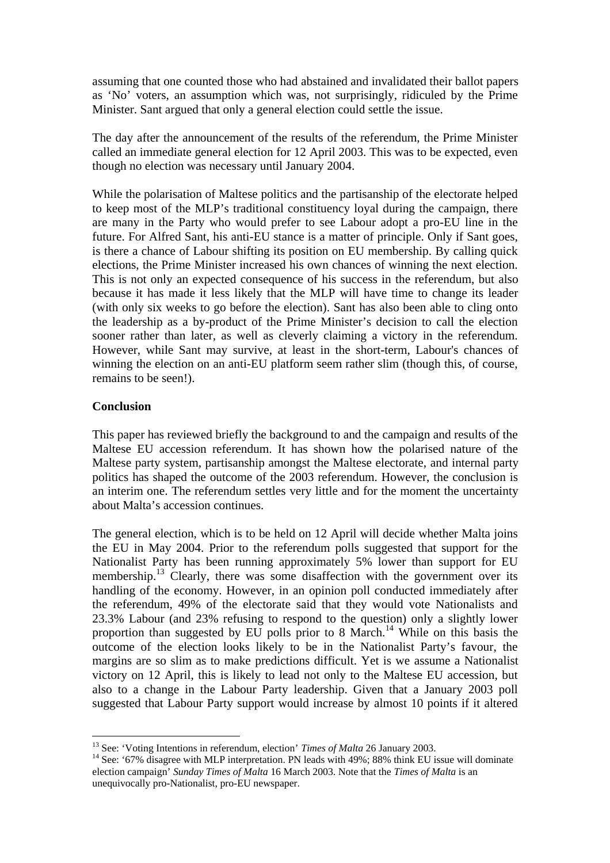assuming that one counted those who had abstained and invalidated their ballot papers as 'No' voters, an assumption which was, not surprisingly, ridiculed by the Prime Minister. Sant argued that only a general election could settle the issue.

The day after the announcement of the results of the referendum, the Prime Minister called an immediate general election for 12 April 2003. This was to be expected, even though no election was necessary until January 2004.

While the polarisation of Maltese politics and the partisanship of the electorate helped to keep most of the MLP's traditional constituency loyal during the campaign, there are many in the Party who would prefer to see Labour adopt a pro-EU line in the future. For Alfred Sant, his anti-EU stance is a matter of principle. Only if Sant goes, is there a chance of Labour shifting its position on EU membership. By calling quick elections, the Prime Minister increased his own chances of winning the next election. This is not only an expected consequence of his success in the referendum, but also because it has made it less likely that the MLP will have time to change its leader (with only six weeks to go before the election). Sant has also been able to cling onto the leadership as a by-product of the Prime Minister's decision to call the election sooner rather than later, as well as cleverly claiming a victory in the referendum. However, while Sant may survive, at least in the short-term, Labour's chances of winning the election on an anti-EU platform seem rather slim (though this, of course, remains to be seen!).

#### **Conclusion**

 $\overline{a}$ 

This paper has reviewed briefly the background to and the campaign and results of the Maltese EU accession referendum. It has shown how the polarised nature of the Maltese party system, partisanship amongst the Maltese electorate, and internal party politics has shaped the outcome of the 2003 referendum. However, the conclusion is an interim one. The referendum settles very little and for the moment the uncertainty about Malta's accession continues.

The general election, which is to be held on 12 April will decide whether Malta joins the EU in May 2004. Prior to the referendum polls suggested that support for the Nationalist Party has been running approximately 5% lower than support for EU membership.<sup>13</sup> Clearly, there was some disaffection with the government over its handling of the economy. However, in an opinion poll conducted immediately after the referendum, 49% of the electorate said that they would vote Nationalists and 23.3% Labour (and 23% refusing to respond to the question) only a slightly lower proportion than suggested by EU polls prior to 8 March.<sup>14</sup> While on this basis the outcome of the election looks likely to be in the Nationalist Party's favour, the margins are so slim as to make predictions difficult. Yet is we assume a Nationalist victory on 12 April, this is likely to lead not only to the Maltese EU accession, but also to a change in the Labour Party leadership. Given that a January 2003 poll suggested that Labour Party support would increase by almost 10 points if it altered

<sup>&</sup>lt;sup>13</sup> See: 'Voting Intentions in referendum, election' *Times of Malta* 26 January 2003.<br><sup>14</sup> See: '67% disagree with MLP interpretation. PN leads with 49%; 88% think EU issue will dominate election campaign' *Sunday Times of Malta* 16 March 2003. Note that the *Times of Malta* is an unequivocally pro-Nationalist, pro-EU newspaper.